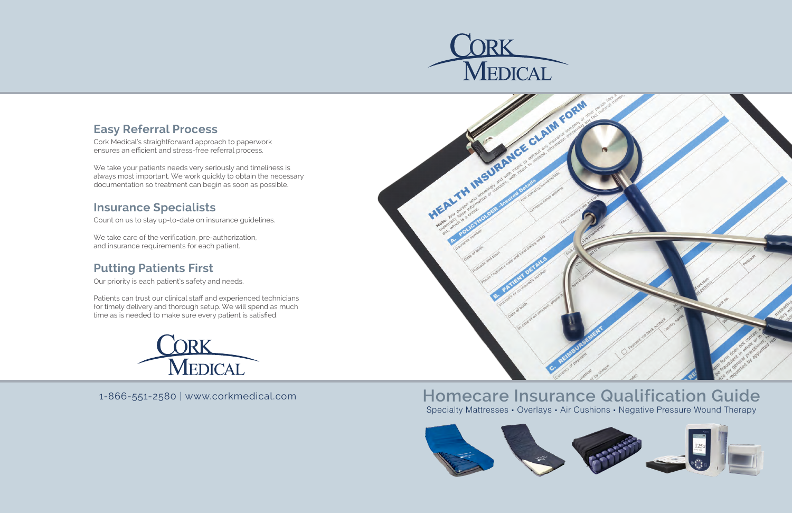## Specialty Mattresses **.** Overlays **.** Air Cushions **.** Negative Pressure Wound Therapy **Homecare Insurance Qualification Guide**





## **Easy Referral Process**

Cork Medical's straightforward approach to paperwork ensures an efficient and stress-free referral process.

We take your patients needs very seriously and timeliness is always most important. We work quickly to obtain the necessary documentation so treatment can begin as soon as possible.

### **Insurance Specialists**

Count on us to stay up-to-date on insurance guidelines.

We take care of the verification, pre-authorization, and insurance requirements for each patient.

# **Putting Patients First**

Our priority is each patient's safety and needs.

Patients can trust our clinical staff and experienced technicians for timely delivery and thorough setup. We will spend as much time as is needed to make sure every patient is satisfied.



1-866-551-2580 | www.corkmedical.com